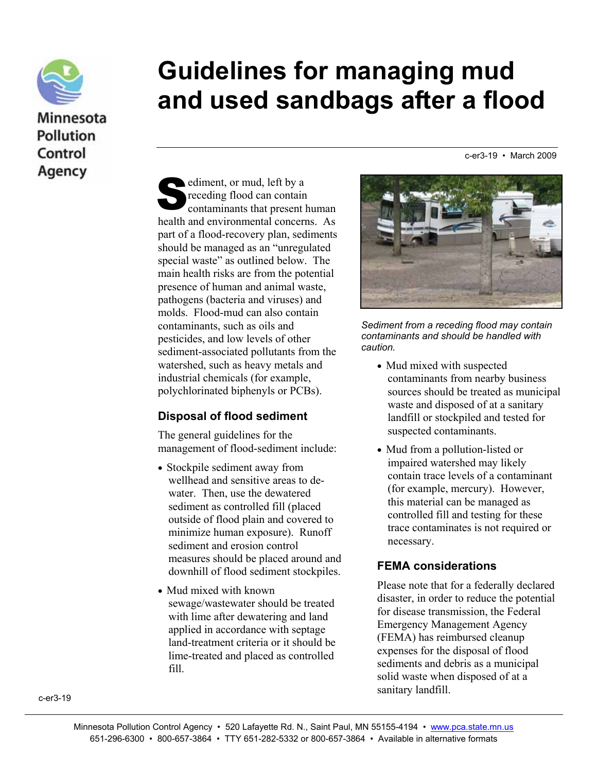

# **Guidelines for managing mud and used sandbags after a flood**

c-er3-19 • March 2009

ediment, or mud, left by a<br>
receding flood can contain<br>
contaminants that present receding flood can contain contaminants that present human health and environmental concerns. As part of a flood-recovery plan, sediments should be managed as an "unregulated special waste" as outlined below. The main health risks are from the potential presence of human and animal waste, pathogens (bacteria and viruses) and molds. Flood-mud can also contain contaminants, such as oils and pesticides, and low levels of other sediment-associated pollutants from the watershed, such as heavy metals and industrial chemicals (for example, polychlorinated biphenyls or PCBs).

### **Disposal of flood sediment**

The general guidelines for the management of flood-sediment include:

- Stockpile sediment away from wellhead and sensitive areas to dewater. Then, use the dewatered sediment as controlled fill (placed outside of flood plain and covered to minimize human exposure). Runoff sediment and erosion control measures should be placed around and downhill of flood sediment stockpiles.
- Mud mixed with known sewage/wastewater should be treated with lime after dewatering and land applied in accordance with septage land-treatment criteria or it should be lime-treated and placed as controlled fill.



*Sediment from a receding flood may contain contaminants and should be handled with caution.* 

- Mud mixed with suspected contaminants from nearby business sources should be treated as municipal waste and disposed of at a sanitary landfill or stockpiled and tested for suspected contaminants.
- Mud from a pollution-listed or impaired watershed may likely contain trace levels of a contaminant (for example, mercury). However, this material can be managed as controlled fill and testing for these trace contaminates is not required or necessary.

### **FEMA considerations**

Please note that for a federally declared disaster, in order to reduce the potential for disease transmission, the Federal Emergency Management Agency (FEMA) has reimbursed cleanup expenses for the disposal of flood sediments and debris as a municipal solid waste when disposed of at a sanitary landfill.